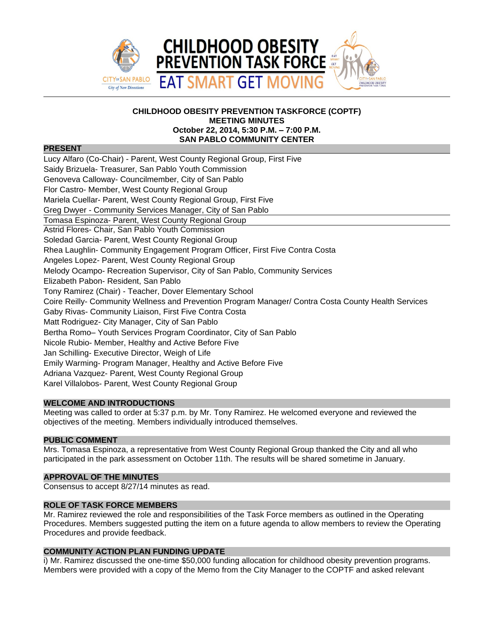

### **CHILDHOOD OBESITY PREVENTION TASKFORCE (COPTF) MEETING MINUTES October 22, 2014, 5:30 P.M. – 7:00 P.M. SAN PABLO COMMUNITY CENTER**

# **PRESENT**

Lucy Alfaro (Co-Chair) - Parent, West County Regional Group, First Five Saidy Brizuela- Treasurer, San Pablo Youth Commission Genoveva Calloway- Councilmember, City of San Pablo Flor Castro- Member, West County Regional Group Mariela Cuellar- Parent, West County Regional Group, First Five Greg Dwyer - Community Services Manager, City of San Pablo Tomasa Espinoza- Parent, West County Regional Group Astrid Flores- Chair, San Pablo Youth Commission Soledad Garcia- Parent, West County Regional Group Rhea Laughlin- Community Engagement Program Officer, First Five Contra Costa Angeles Lopez- Parent, West County Regional Group Melody Ocampo- Recreation Supervisor, City of San Pablo, Community Services Elizabeth Pabon- Resident, San Pablo Tony Ramirez (Chair) - Teacher, Dover Elementary School Coire Reilly- Community Wellness and Prevention Program Manager/ Contra Costa County Health Services Gaby Rivas- Community Liaison, First Five Contra Costa Matt Rodriguez- City Manager, City of San Pablo Bertha Romo– Youth Services Program Coordinator, City of San Pablo Nicole Rubio- Member, Healthy and Active Before Five Jan Schilling- Executive Director, Weigh of Life Emily Warming- Program Manager, Healthy and Active Before Five Adriana Vazquez- Parent, West County Regional Group Karel Villalobos- Parent, West County Regional Group

# **WELCOME AND INTRODUCTIONS**

Meeting was called to order at 5:37 p.m. by Mr. Tony Ramirez. He welcomed everyone and reviewed the objectives of the meeting. Members individually introduced themselves.

# **PUBLIC COMMENT**

Mrs. Tomasa Espinoza, a representative from West County Regional Group thanked the City and all who participated in the park assessment on October 11th. The results will be shared sometime in January.

### **APPROVAL OF THE MINUTES**

Consensus to accept 8/27/14 minutes as read.

## **ROLE OF TASK FORCE MEMBERS**

Mr. Ramirez reviewed the role and responsibilities of the Task Force members as outlined in the Operating Procedures. Members suggested putting the item on a future agenda to allow members to review the Operating Procedures and provide feedback.

### **COMMUNITY ACTION PLAN FUNDING UPDATE**

i) Mr. Ramirez discussed the one-time \$50,000 funding allocation for childhood obesity prevention programs. Members were provided with a copy of the Memo from the City Manager to the COPTF and asked relevant